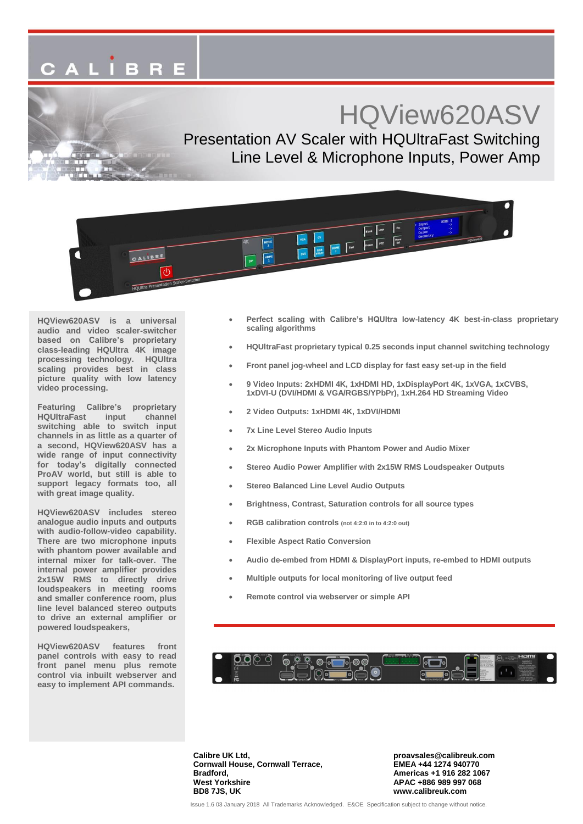# CALIBRE

## HQView620ASV

Presentation AV Scaler with HQUltraFast Switching Line Level & Microphone Inputs, Power Amp



**HQView620ASV is a universal audio and video scaler-switcher based on Calibre's proprietary class-leading HQUltra 4K image processing technology. HQUltra scaling provides best in class picture quality with low latency video processing.**

**Featuring Calibre's proprietary HQUltraFast input channel switching able to switch input channels in as little as a quarter of a second, HQView620ASV has a wide range of input connectivity for today's digitally connected ProAV world, but still is able to support legacy formats too, all with great image quality.**

**HQView620ASV includes stereo analogue audio inputs and outputs with audio-follow-video capability. There are two microphone inputs with phantom power available and internal mixer for talk-over. The internal power amplifier provides 2x15W RMS to directly drive loudspeakers in meeting rooms and smaller conference room, plus line level balanced stereo outputs to drive an external amplifier or powered loudspeakers,**

**HQView620ASV features front panel controls with easy to read front panel menu plus remote control via inbuilt webserver and easy to implement API commands.**

- **Perfect scaling with Calibre's HQUltra low-latency 4K best-in-class proprietary scaling algorithms**
- **HQUltraFast proprietary typical 0.25 seconds input channel switching technology**
- **Front panel jog-wheel and LCD display for fast easy set-up in the field**
- **9 Video Inputs: 2xHDMI 4K, 1xHDMI HD, 1xDisplayPort 4K, 1xVGA, 1xCVBS, 1xDVI-U (DVI/HDMI & VGA/RGBS/YPbPr), 1xH.264 HD Streaming Video**
- **2 Video Outputs: 1xHDMI 4K, 1xDVI/HDMI**
- **7x Line Level Stereo Audio Inputs**
- **2x Microphone Inputs with Phantom Power and Audio Mixer**
- **Stereo Audio Power Amplifier with 2x15W RMS Loudspeaker Outputs**
- **Stereo Balanced Line Level Audio Outputs**
- **Brightness, Contrast, Saturation controls for all source types**
- **RGB calibration controls (not 4:2:0 in to 4:2:0 out)**
- **Flexible Aspect Ratio Conversion**
- **Audio de-embed from HDMI & DisplayPort inputs, re-embed to HDMI outputs**
- **Multiple outputs for local monitoring of live output feed**
- **Remote control via webserver or simple API**



**Calibre UK Ltd, Cornwall House, Cornwall Terrace, Bradford, West Yorkshire BD8 7JS, UK**

**proavsales@calibreuk.com EMEA +44 1274 940770 Americas +1 916 282 1067 APAC +886 989 997 068 www.calibreuk.com**

Issue 1.6 03 January 2018 All Trademarks Acknowledged. E&OE Specification subject to change without notice.